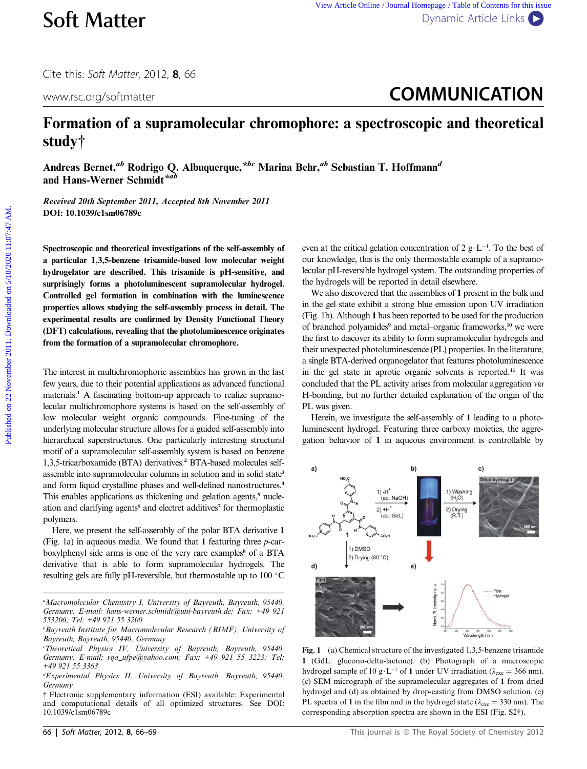Cite this: Soft Matter, 2012, <sup>8</sup>, 66

# www.rsc.org/softmatter **COMMUNICATION**

## Formation of a supramolecular chromophore: a spectroscopic and theoretical study†

Andreas Bernet,<sup>ab</sup> Rodrigo Q. Albuquerque,<sup>\*bc</sup> Marina Behr,<sup>ab</sup> Sebastian T. Hoffmann<sup>d</sup> and Hans-Werner Schmidt\*ab

Received 20th September 2011, Accepted 8th November 2011 DOI: 10.1039/c1sm06789c

Spectroscopic and theoretical investigations of the self-assembly of a particular 1,3,5-benzene trisamide-based low molecular weight hydrogelator are described. This trisamide is pH-sensitive, and surprisingly forms a photoluminescent supramolecular hydrogel. Controlled gel formation in combination with the luminescence properties allows studying the self-assembly process in detail. The experimental results are confirmed by Density Functional Theory (DFT) calculations, revealing that the photoluminescence originates from the formation of a supramolecular chromophore.

The interest in multichromophoric assemblies has grown in the last few years, due to their potential applications as advanced functional materials.<sup>1</sup> A fascinating bottom-up approach to realize supramolecular multichromophore systems is based on the self-assembly of low molecular weight organic compounds. Fine-tuning of the underlying molecular structure allows for a guided self-assembly into hierarchical superstructures. One particularly interesting structural motif of a supramolecular self-assembly system is based on benzene 1,3,5-tricarboxamide (BTA) derivatives.<sup>2</sup> BTA-based molecules selfassemble into supramolecular columns in solution and in solid state<sup>3</sup> and form liquid crystalline phases and well-defined nanostructures.<sup>4</sup> This enables applications as thickening and gelation agents,<sup>5</sup> nucleation and clarifying agents<sup>6</sup> and electret additives<sup>7</sup> for thermoplastic polymers.

Here, we present the self-assembly of the polar BTA derivative 1 (Fig. 1a) in aqueous media. We found that 1 featuring three p-carboxylphenyl side arms is one of the very rare examples<sup>8</sup> of a BTA derivative that is able to form supramolecular hydrogels. The resulting gels are fully pH-reversible, but thermostable up to  $100 °C$ 

even at the critical gelation concentration of 2  $g \cdot L^{-1}$ . To the best of our knowledge, this is the only thermostable example of a supramolecular pH-reversible hydrogel system. The outstanding properties of the hydrogels will be reported in detail elsewhere.

We also discovered that the assemblies of 1 present in the bulk and in the gel state exhibit a strong blue emission upon UV irradiation (Fig. 1b). Although 1 has been reported to be used for the production of branched polyamides<sup>9</sup> and metal–organic frameworks,<sup>10</sup> we were the first to discover its ability to form supramolecular hydrogels and their unexpected photoluminescence (PL) properties. In the literature, a single BTA-derived organogelator that features photoluminescence in the gel state in aprotic organic solvents is reported.<sup>11</sup> It was concluded that the PL activity arises from molecular aggregation via H-bonding, but no further detailed explanation of the origin of the PL was given. **Soft Matter** versus the Contents *(see Article Contents in the Contents Contents for the Contents of the Contents of the Contents of the Contents of the Contents of the Contents of the Contents of the Contents of the Con* 

Herein, we investigate the self-assembly of 1 leading to a photoluminescent hydrogel. Featuring three carboxy moieties, the aggregation behavior of 1 in aqueous environment is controllable by



Fig. 1 (a) Chemical structure of the investigated 1,3,5-benzene trisamide 1 (GdL: glucono-delta-lactone). (b) Photograph of a macroscopic hydrogel sample of 10 g·L<sup>-1</sup> of 1 under UV irradiation ( $\lambda_{\rm exc}$  = 366 nm). (c) SEM micrograph of the supramolecular aggregates of 1 from dried hydrogel and (d) as obtained by drop-casting from DMSO solution. (e) PL spectra of 1 in the film and in the hydrogel state ( $\lambda_{\rm exc}$  = 330 nm). The corresponding absorption spectra are shown in the ESI (Fig. S2†).

<sup>&</sup>lt;sup>a</sup>Macromolecular Chemistry I, University of Bayreuth, Bayreuth, 95440, Germany. E-mail: hans-werner.schmidt@uni-bayreuth.de; Fax: +49 921 553206; Tel: +49 921 55 3200

b Bayreuth Institute for Macromolecular Research (BIMF), University of Bayreuth, Bayreuth, 95440, Germany

Theoretical Physics IV, University of Bayreuth, Bayreuth, 95440, Germany. E-mail: rqa\_ufpe@yahoo.com; Fax: +49 921 55 3223; Tel: +49 921 55 3363

d Experimental Physics II, University of Bayreuth, Bayreuth, 95440, Germany

<sup>†</sup> Electronic supplementary information (ESI) available: Experimental and computational details of all optimized structures. See DOI: 10.1039/c1sm06789c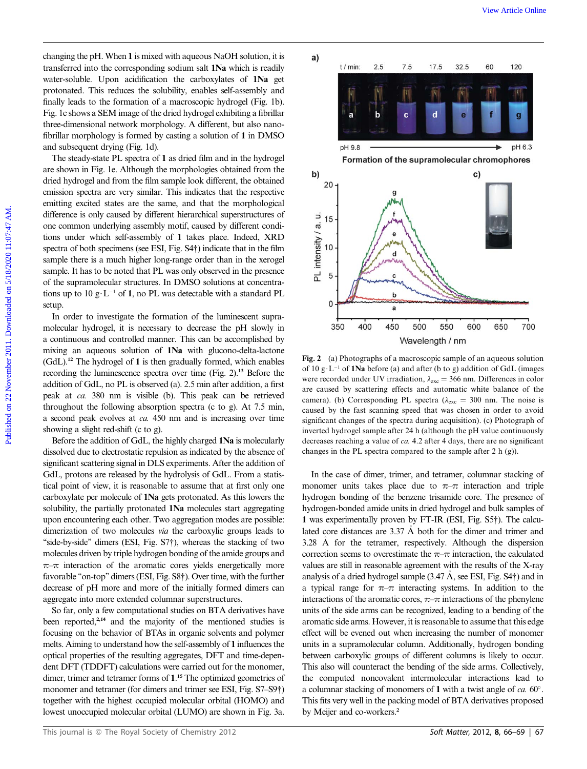changing the pH. When 1 is mixed with aqueous NaOH solution, it is transferred into the corresponding sodium salt 1Na which is readily water-soluble. Upon acidification the carboxylates of 1Na get protonated. This reduces the solubility, enables self-assembly and finally leads to the formation of a macroscopic hydrogel (Fig. 1b). Fig. 1c shows a SEM image of the dried hydrogel exhibiting a fibrillar three-dimensional network morphology. A different, but also nanofibrillar morphology is formed by casting a solution of 1 in DMSO and subsequent drying (Fig. 1d).

The steady-state PL spectra of 1 as dried film and in the hydrogel are shown in Fig. 1e. Although the morphologies obtained from the dried hydrogel and from the film sample look different, the obtained emission spectra are very similar. This indicates that the respective emitting excited states are the same, and that the morphological difference is only caused by different hierarchical superstructures of one common underlying assembly motif, caused by different conditions under which self-assembly of 1 takes place. Indeed, XRD spectra of both specimens (see ESI, Fig. S4†) indicate that in the film sample there is a much higher long-range order than in the xerogel sample. It has to be noted that PL was only observed in the presence of the supramolecular structures. In DMSO solutions at concentrations up to 10 g·L<sup>-1</sup> of 1, no PL was detectable with a standard PL setup.

In order to investigate the formation of the luminescent supramolecular hydrogel, it is necessary to decrease the pH slowly in a continuous and controlled manner. This can be accomplished by mixing an aqueous solution of 1Na with glucono-delta-lactone  $(GdL)$ <sup>12</sup>. The hydrogel of 1 is then gradually formed, which enables recording the luminescence spectra over time (Fig. 2).<sup>13</sup> Before the addition of GdL, no PL is observed (a). 2.5 min after addition, a first peak at ca. 380 nm is visible (b). This peak can be retrieved throughout the following absorption spectra (c to g). At 7.5 min, a second peak evolves at ca. 450 nm and is increasing over time showing a slight red-shift (c to g).

Before the addition of GdL, the highly charged 1Na is molecularly dissolved due to electrostatic repulsion as indicated by the absence of significant scattering signal in DLS experiments. After the addition of GdL, protons are released by the hydrolysis of GdL. From a statistical point of view, it is reasonable to assume that at first only one carboxylate per molecule of 1Na gets protonated. As this lowers the solubility, the partially protonated 1Na molecules start aggregating upon encountering each other. Two aggregation modes are possible: dimerization of two molecules via the carboxylic groups leads to "side-by-side" dimers (ESI, Fig. S7†), whereas the stacking of two molecules driven by triple hydrogen bonding of the amide groups and  $\pi$ – $\pi$  interaction of the aromatic cores yields energetically more favorable "on-top" dimers (ESI, Fig. S8†). Over time, with the further decrease of pH more and more of the initially formed dimers can aggregate into more extended columnar superstructures.

So far, only a few computational studies on BTA derivatives have been reported,<sup>2,14</sup> and the majority of the mentioned studies is focusing on the behavior of BTAs in organic solvents and polymer melts. Aiming to understand how the self-assembly of 1 influences the optical properties of the resulting aggregates, DFT and time-dependent DFT (TDDFT) calculations were carried out for the monomer, dimer, trimer and tetramer forms of 1. <sup>15</sup> The optimized geometries of monomer and tetramer (for dimers and trimer see ESI, Fig. S7–S9†) together with the highest occupied molecular orbital (HOMO) and lowest unoccupied molecular orbital (LUMO) are shown in Fig. 3a.



Fig. 2 (a) Photographs of a macroscopic sample of an aqueous solution of 10 g $\cdot$  L<sup>-1</sup> of 1Na before (a) and after (b to g) addition of GdL (images were recorded under UV irradiation,  $\lambda_{\text{exc}} = 366$  nm. Differences in color are caused by scattering effects and automatic white balance of the camera). (b) Corresponding PL spectra ( $\lambda_{\text{exc}} = 300$  nm. The noise is caused by the fast scanning speed that was chosen in order to avoid significant changes of the spectra during acquisition). (c) Photograph of inverted hydrogel sample after 24 h (although the pH value continuously decreases reaching a value of ca. 4.2 after 4 days, there are no significant changes in the PL spectra compared to the sample after 2 h (g)).

In the case of dimer, trimer, and tetramer, columnar stacking of monomer units takes place due to  $\pi-\pi$  interaction and triple hydrogen bonding of the benzene trisamide core. The presence of hydrogen-bonded amide units in dried hydrogel and bulk samples of 1 was experimentally proven by FT-IR (ESI, Fig. S5†). The calculated core distances are 3.37 A both for the dimer and trimer and 3.28 A for the tetramer, respectively. Although the dispersion correction seems to overestimate the  $\pi-\pi$  interaction, the calculated values are still in reasonable agreement with the results of the X-ray analysis of a dried hydrogel sample (3.47 A, see ESI, Fig. S4†) and in a typical range for  $\pi-\pi$  interacting systems. In addition to the interactions of the aromatic cores,  $\pi-\pi$  interactions of the phenylene units of the side arms can be recognized, leading to a bending of the aromatic side arms. However, it is reasonable to assume that this edge effect will be evened out when increasing the number of monomer units in a supramolecular column. Additionally, hydrogen bonding between carboxylic groups of different columns is likely to occur. This also will counteract the bending of the side arms. Collectively, the computed noncovalent intermolecular interactions lead to a columnar stacking of monomers of 1 with a twist angle of  $ca. 60^\circ$ . This fits very well in the packing model of BTA derivatives proposed by Meijer and co-workers.<sup>2</sup>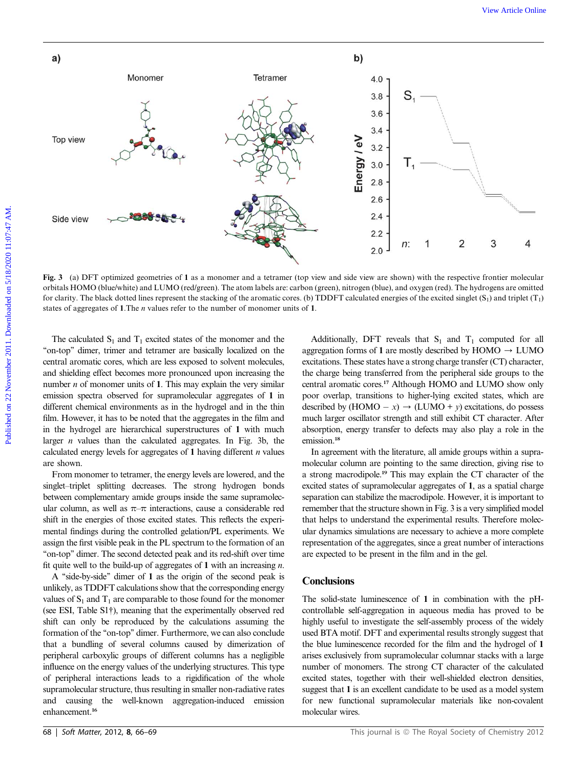

Fig. 3 (a) DFT optimized geometries of 1 as a monomer and a tetramer (top view and side view are shown) with the respective frontier molecular orbitals HOMO (blue/white) and LUMO (red/green). The atom labels are: carbon (green), nitrogen (blue), and oxygen (red). The hydrogens are omitted for clarity. The black dotted lines represent the stacking of the aromatic cores. (b) TDDFT calculated energies of the excited singlet  $(S_1)$  and triplet  $(T_1)$ states of aggregates of 1. The  $n$  values refer to the number of monomer units of 1.

The calculated  $S_1$  and  $T_1$  excited states of the monomer and the "on-top" dimer, trimer and tetramer are basically localized on the central aromatic cores, which are less exposed to solvent molecules, and shielding effect becomes more pronounced upon increasing the number  $n$  of monomer units of 1. This may explain the very similar emission spectra observed for supramolecular aggregates of 1 in different chemical environments as in the hydrogel and in the thin film. However, it has to be noted that the aggregates in the film and in the hydrogel are hierarchical superstructures of 1 with much larger  $n$  values than the calculated aggregates. In Fig. 3b, the calculated energy levels for aggregates of 1 having different  $n$  values are shown.

From monomer to tetramer, the energy levels are lowered, and the singlet–triplet splitting decreases. The strong hydrogen bonds between complementary amide groups inside the same supramolecular column, as well as  $\pi-\pi$  interactions, cause a considerable red shift in the energies of those excited states. This reflects the experimental findings during the controlled gelation/PL experiments. We assign the first visible peak in the PL spectrum to the formation of an ''on-top'' dimer. The second detected peak and its red-shift over time fit quite well to the build-up of aggregates of 1 with an increasing  $n$ .

A ''side-by-side'' dimer of 1 as the origin of the second peak is unlikely, as TDDFT calculations show that the corresponding energy values of  $S_1$  and  $T_1$  are comparable to those found for the monomer (see ESI, Table S1†), meaning that the experimentally observed red shift can only be reproduced by the calculations assuming the formation of the "on-top" dimer. Furthermore, we can also conclude that a bundling of several columns caused by dimerization of peripheral carboxylic groups of different columns has a negligible influence on the energy values of the underlying structures. This type of peripheral interactions leads to a rigidification of the whole supramolecular structure, thus resulting in smaller non-radiative rates and causing the well-known aggregation-induced emission enhancement.<sup>16</sup>

Additionally, DFT reveals that  $S_1$  and  $T_1$  computed for all aggregation forms of 1 are mostly described by  $HOMO \rightarrow LUMO$ excitations. These states have a strong charge transfer (CT) character, the charge being transferred from the peripheral side groups to the central aromatic cores.<sup>17</sup> Although HOMO and LUMO show only poor overlap, transitions to higher-lying excited states, which are described by  $(HOMO - x) \rightarrow (LUMO + y)$  excitations, do possess much larger oscillator strength and still exhibit CT character. After absorption, energy transfer to defects may also play a role in the emission.<sup>18</sup>

In agreement with the literature, all amide groups within a supramolecular column are pointing to the same direction, giving rise to a strong macrodipole.<sup>19</sup> This may explain the CT character of the excited states of supramolecular aggregates of 1, as a spatial charge separation can stabilize the macrodipole. However, it is important to remember that the structure shown in Fig. 3 is a very simplified model that helps to understand the experimental results. Therefore molecular dynamics simulations are necessary to achieve a more complete representation of the aggregates, since a great number of interactions are expected to be present in the film and in the gel.

#### **Conclusions**

The solid-state luminescence of 1 in combination with the pHcontrollable self-aggregation in aqueous media has proved to be highly useful to investigate the self-assembly process of the widely used BTA motif. DFT and experimental results strongly suggest that the blue luminescence recorded for the film and the hydrogel of 1 arises exclusively from supramolecular columnar stacks with a large number of monomers. The strong CT character of the calculated excited states, together with their well-shielded electron densities, suggest that 1 is an excellent candidate to be used as a model system for new functional supramolecular materials like non-covalent molecular wires.